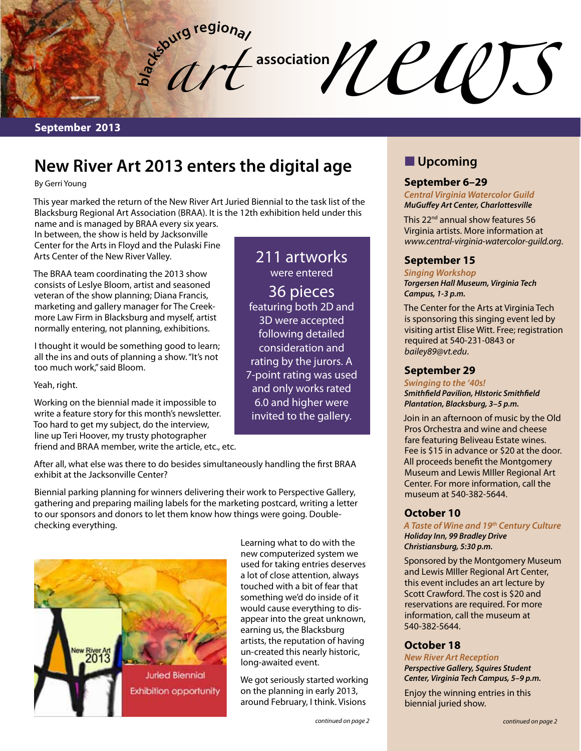**September 2013**

# **New River Art 2013 enters the digital age**

**a**<sub>c</sub><sup>t</sup></sup>**d c**<sup>**d**</sup><br> **a** 

By Gerri Young

This year marked the return of the New River Art Juried Biennial to the task list of the Blacksburg Regional Art Association (BRAA). It is the 12th exhibition held under this

name and is managed by BRAA every six years. In between, the show is held by Jacksonville Center for the Arts in Floyd and the Pulaski Fine Arts Center of the New River Valley.

**bl**

The BRAA team coordinating the 2013 show consists of Leslye Bloom, artist and seasoned veteran of the show planning; Diana Francis, marketing and gallery manager for The Creekmore Law Firm in Blacksburg and myself, artist normally entering, not planning, exhibitions.

I thought it would be something good to learn; all the ins and outs of planning a show. "It's not too much work," said Bloom.

Yeah, right.

Working on the biennial made it impossible to write a feature story for this month's newsletter. Too hard to get my subject, do the interview, line up Teri Hoover, my trusty photographer friend and BRAA member, write the article, etc., etc.

After all, what else was there to do besides simultaneously handling the first BRAA exhibit at the Jacksonville Center?

Biennial parking planning for winners delivering their work to Perspective Gallery, gathering and preparing mailing labels for the marketing postcard, writing a letter to our sponsors and donors to let them know how things were going. Doublechecking everything.



Learning what to do with the new computerized system we used for taking entries deserves a lot of close attention, always touched with a bit of fear that something we'd do inside of it would cause everything to disappear into the great unknown, earning us, the Blacksburg artists, the reputation of having un-created this nearly historic, long-awaited event.

211 artworks were entered 36 pieces featuring both 2D and 3D were accepted following detailed consideration and rating by the jurors. A 7-point rating was used and only works rated 6.0 and higher were invited to the gallery.

We got seriously started working on the planning in early 2013, around February, I think. Visions

## **N** Upcoming

association*news* (*n*)

### **September 6–29**

*Central Virginia Watercolor Guild MuGuffey Art Center, Charlottesville*

This 22<sup>nd</sup> annual show features 56 Virginia artists. More information at *www.central-virginia-watercolor-guild.org*.

## **September 15**

*Singing Workshop Torgersen Hall Museum, Virginia Tech Campus, 1-3 p.m.*

The Center for the Arts at Virginia Tech is sponsoring this singing event led by visiting artist Elise Witt. Free; registration required at 540-231-0843 or *bailey89@vt.edu*.

## **September 29**

*Swinging to the '40s! Smithfield Pavilion, HIstoric Smithfield Plantation, Blacksburg, 3–5 p.m.*

Join in an afternoon of music by the Old Pros Orchestra and wine and cheese fare featuring Beliveau Estate wines. Fee is \$15 in advance or \$20 at the door. All proceeds benefit the Montgomery Museum and Lewis MIller Regional Art Center. For more information, call the museum at 540-382-5644.

## **October 10**

*A Taste of Wine and 19th Century Culture Holiday Inn, 99 Bradley Drive Christiansburg, 5:30 p.m.*

Sponsored by the Montgomery Museum and Lewis MIller Regional Art Center, this event includes an art lecture by Scott Crawford. The cost is \$20 and reservations are required. For more information, call the museum at 540-382-5644.

### **October 18**

*New River Art Reception Perspective Gallery, Squires Student Center, Virginia Tech Campus, 5–9 p.m.*

Enjoy the winning entries in this biennial juried show.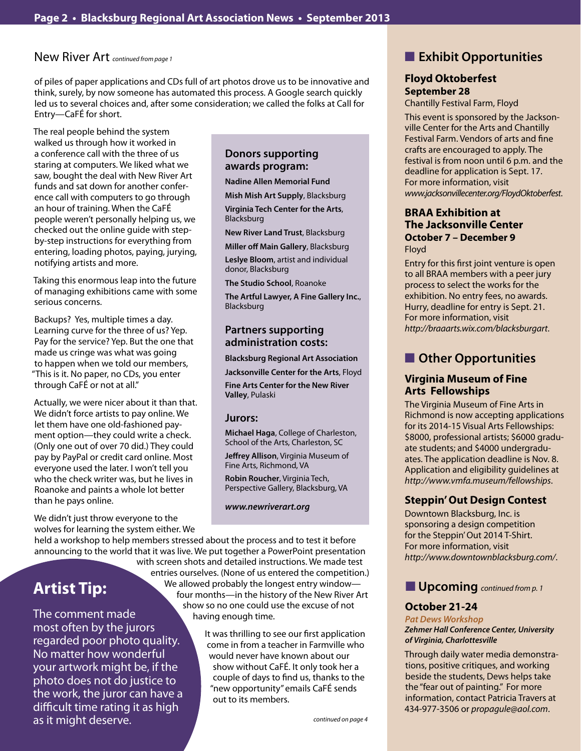#### New River Art *continued from page 1*

of piles of paper applications and CDs full of art photos drove us to be innovative and think, surely, by now someone has automated this process. A Google search quickly led us to several choices and, after some consideration; we called the folks at Call for Entry—CaFÉ for short.

The real people behind the system walked us through how it worked in a conference call with the three of us staring at computers. We liked what we saw, bought the deal with New River Art funds and sat down for another conference call with computers to go through an hour of training. When the CaFÉ people weren't personally helping us, we checked out the online guide with stepby-step instructions for everything from entering, loading photos, paying, jurying, notifying artists and more.

Taking this enormous leap into the future of managing exhibitions came with some serious concerns.

Backups? Yes, multiple times a day. Learning curve for the three of us? Yep. Pay for the service? Yep. But the one that made us cringe was what was going to happen when we told our members, "This is it. No paper, no CDs, you enter through CaFÉ or not at all."

Actually, we were nicer about it than that. We didn't force artists to pay online. We let them have one old-fashioned payment option—they could write a check. (Only one out of over 70 did.) They could pay by PayPal or credit card online. Most everyone used the later. I won't tell you who the check writer was, but he lives in Roanoke and paints a whole lot better than he pays online.

We didn't just throw everyone to the wolves for learning the system either. We

## **Donors supporting awards program:**

**Nadine Allen Memorial Fund**

**Mish Mish Art Supply**, Blacksburg

**Virginia Tech Center for the Arts**, Blacksburg

**New River Land Trust**, Blacksburg

**Miller off Main Gallery**, Blacksburg

**Leslye Bloom**, artist and individual donor, Blacksburg

**The Studio School**, Roanoke **The Artful Lawyer, A Fine Gallery Inc.**, Blacksburg

### **Partners supporting administration costs:**

**Blacksburg Regional Art Association**

**Jacksonville Center for the Arts**, Floyd

**Fine Arts Center for the New River Valley**, Pulaski

## **Jurors:**

**Michael Haga**, College of Charleston, School of the Arts, Charleston, SC

**Jeffrey Allison**, Virginia Museum of Fine Arts, Richmond, VA

**Robin Roucher**, Virginia Tech, Perspective Gallery, Blacksburg, VA

*www.newriverart.org*

held a workshop to help members stressed about the process and to test it before announcing to the world that it was live. We put together a PowerPoint presentation

# **Artist Tip:**

The comment made most often by the jurors regarded poor photo quality. No matter how wonderful your artwork might be, if the photo does not do justice to the work, the juror can have a difficult time rating it as high as it might deserve.

 with screen shots and detailed instructions. We made test entries ourselves. (None of us entered the competition.) We allowed probably the longest entry window four months—in the history of the New River Art show so no one could use the excuse of not having enough time.

> It was thrilling to see our first application come in from a teacher in Farmville who would never have known about our show without CaFÉ. It only took her a couple of days to find us, thanks to the "new opportunity" emails CaFÉ sends out to its members.

## **n** Exhibit Opportunities

## **Floyd Oktoberfest September 28**

Chantilly Festival Farm, Floyd

This event is sponsored by the Jacksonville Center for the Arts and Chantilly Festival Farm. Vendors of arts and fine crafts are encouraged to apply. The festival is from noon until 6 p.m. and the deadline for application is Sept. 17. For more information, visit *www.jacksonvillecenter.org/FloydOktoberfest*.

#### **BRAA Exhibition at The Jacksonville Center October 7 – December 9** Floyd

Entry for this first joint venture is open to all BRAA members with a peer jury process to select the works for the exhibition. No entry fees, no awards. Hurry, deadline for entry is Sept. 21. For more information, visit *http://braaarts.wix.com/blacksburgart*.

## **n** Other Opportunities

## **Virginia Museum of Fine Arts Fellowships**

The Virginia Museum of Fine Arts in Richmond is now accepting applications for its 2014-15 Visual Arts Fellowships: \$8000, professional artists; \$6000 graduate students; and \$4000 undergraduates. The application deadline is Nov. 8. Application and eligibility guidelines at *http://www.vmfa.museum/fellowships*.

## **Steppin' Out Design Contest**

Downtown Blacksburg, Inc. is sponsoring a design competition for the Steppin' Out 2014 T-Shirt. For more information, visit *http://www.downtownblacksburg.com/*.

## **upcoming** *continued from p. 1*

## **October 21-24**

*Pat Dews Workshop Zehmer Hall Conference Center, University of Virginia, Charlottesville*

Through daily water media demonstrations, positive critiques, and working beside the students, Dews helps take the "fear out of painting." For more information, contact Patricia Travers at 434-977-3506 or *propagule@aol.com*.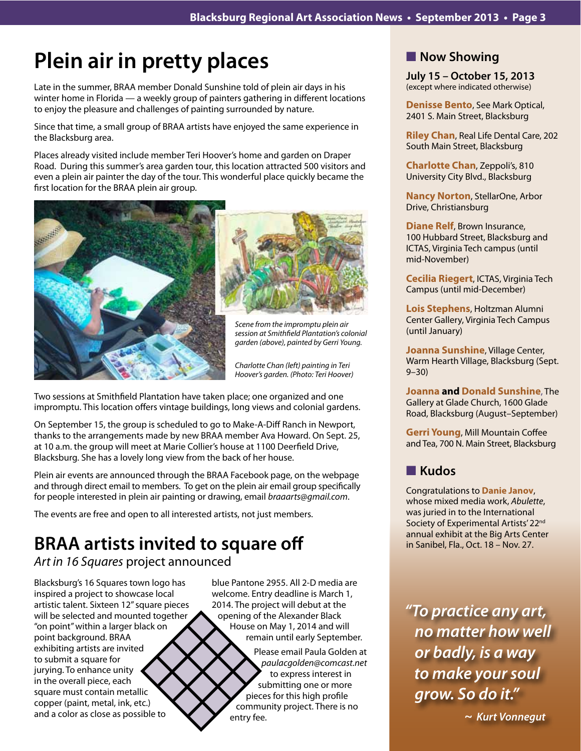# **Plein air in pretty places**

Late in the summer, BRAA member Donald Sunshine told of plein air days in his winter home in Florida — a weekly group of painters gathering in different locations to enjoy the pleasure and challenges of painting surrounded by nature.

Since that time, a small group of BRAA artists have enjoyed the same experience in the Blacksburg area.

Places already visited include member Teri Hoover's home and garden on Draper Road. During this summer's area garden tour, this location attracted 500 visitors and even a plein air painter the day of the tour. This wonderful place quickly became the first location for the BRAA plein air group.





*Scene from the impromptu plein air session at Smithfield Plantation's colonial garden (above), painted by Gerri Young.*

*Charlotte Chan (left) painting in Teri Hoover's garden. (Photo: Teri Hoover)*

Two sessions at Smithfield Plantation have taken place; one organized and one impromptu. This location offers vintage buildings, long views and colonial gardens.

On September 15, the group is scheduled to go to Make-A-Diff Ranch in Newport, thanks to the arrangements made by new BRAA member Ava Howard. On Sept. 25, at 10 a.m. the group will meet at Marie Collier's house at 1100 Deerfield Drive, Blacksburg. She has a lovely long view from the back of her house.

Plein air events are announced through the BRAA Facebook page, on the webpage and through direct email to members. To get on the plein air email group specifically for people interested in plein air painting or drawing, email *braaarts@gmail.com*.

The events are free and open to all interested artists, not just members.

# **BRAA artists invited to square off**

*Art in 16 Squares* project announced

Blacksburg's 16 Squares town logo has inspired a project to showcase local artistic talent. Sixteen 12" square pieces will be selected and mounted together "on point" within a larger black on point background. BRAA exhibiting artists are invited to submit a square for jurying. To enhance unity in the overall piece, each square must contain metallic copper (paint, metal, ink, etc.) and a color as close as possible to

blue Pantone 2955. All 2-D media are welcome. Entry deadline is March 1, 2014. The project will debut at the opening of the Alexander Black House on May 1, 2014 and will remain until early September.

> Please email Paula Golden at  *paulacgolden@comcast.net* to express interest in submitting one or more pieces for this high profile community project. There is no entry fee.

## **Now Showing**

**July 15 – October 15, 2013** (except where indicated otherwise)

**Denisse Bento**, See Mark Optical, 2401 S. Main Street, Blacksburg

**Riley Chan**, Real Life Dental Care, 202 South Main Street, Blacksburg

**Charlotte Chan**, Zeppoli's, 810 University City Blvd., Blacksburg

**Nancy Norton**, StellarOne, Arbor Drive, Christiansburg

**Diane Relf**, Brown Insurance, 100 Hubbard Street, Blacksburg and ICTAS, Virginia Tech campus (until mid-November)

**Cecilia Riegert**, ICTAS, Virginia Tech Campus (until mid-December)

**Lois Stephens**, Holtzman Alumni Center Gallery, Virginia Tech Campus (until January)

**Joanna Sunshine**, Village Center, Warm Hearth Village, Blacksburg (Sept. 9–30)

**Joanna and Donald Sunshine**, The Gallery at Glade Church, 1600 Glade Road, Blacksburg (August–September)

**Gerri Young**, Mill Mountain Coffee and Tea, 700 N. Main Street, Blacksburg

## n **Kudos**

Congratulations to **Danie Janov**, whose mixed media work, *Abulette*, was juried in to the International Society of Experimental Artists' 22<sup>nd</sup> annual exhibit at the Big Arts Center in Sanibel, Fla., Oct. 18 – Nov. 27.

*"To practice any art, no matter how well or badly, is a way to make your soul grow. So do it."* 

 *~ Kurt Vonnegut*